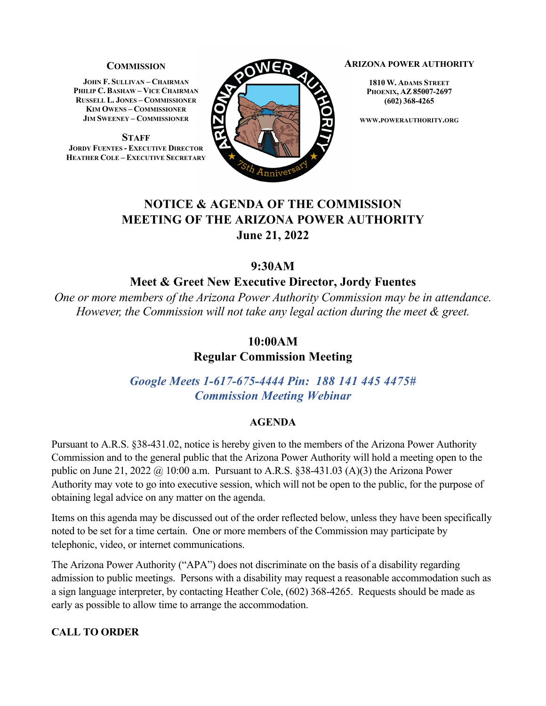#### **COMMISSION**

**JOHN F. SULLIVAN – CHAIRMAN PHILIP C. BASHAW – VICE CHAIRMAN RUSSELL L. JONES – COMMISSIONER KIM OWENS – COMMISSIONER JIM SWEENEY – COMMISSIONER**

**STAFF JORDY FUENTES - EXECUTIVE DIRECTOR HEATHER COLE – EXECUTIVE SECRETARY**



#### **ARIZONA POWER AUTHORITY**

**1810 W. ADAMS STREET PHOENIX, AZ 85007-2697 (602) 368-4265**

**WWW.POWERAUTHORITY.ORG**

# **NOTICE & AGENDA OF THE COMMISSION MEETING OF THE ARIZONA POWER AUTHORITY June 21, 2022**

# **9:30AM**

## **Meet & Greet New Executive Director, Jordy Fuentes**

*One or more members of the Arizona Power Authority Commission may be in attendance. However, the Commission will not take any legal action during the meet & greet.*

## **10:00AM**

**Regular Commission Meeting**

*Google Meets 1-617-675-4444 Pin: 188 141 445 4475# Commission Meeting Webinar*

#### **AGENDA**

Pursuant to A.R.S. §38-431.02, notice is hereby given to the members of the Arizona Power Authority Commission and to the general public that the Arizona Power Authority will hold a meeting open to the public on June 21, 2022  $\omega$  10:00 a.m. Pursuant to A.R.S. §38-431.03 (A)(3) the Arizona Power Authority may vote to go into executive session, which will not be open to the public, for the purpose of obtaining legal advice on any matter on the agenda.

Items on this agenda may be discussed out of the order reflected below, unless they have been specifically noted to be set for a time certain. One or more members of the Commission may participate by telephonic, video, or internet communications.

The Arizona Power Authority ("APA") does not discriminate on the basis of a disability regarding admission to public meetings. Persons with a disability may request a reasonable accommodation such as a sign language interpreter, by contacting Heather Cole, (602) 368-4265. Requests should be made as early as possible to allow time to arrange the accommodation.

## **CALL TO ORDER**